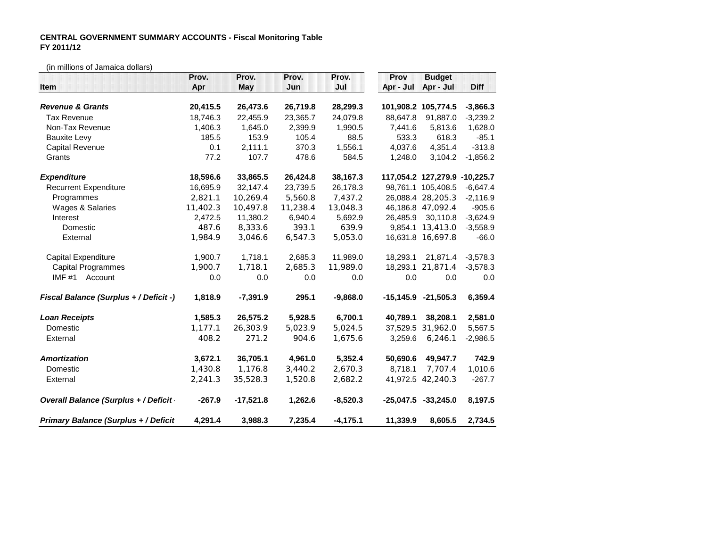## **CENTRAL GOVERNMENT SUMMARY ACCOUNTS - Fiscal Monitoring Table FY 2011/12**

(in millions of Jamaica dollars)

|                                             | Prov.    | Prov.       | Prov.    | Prov.       | Prov      | <b>Budget</b>                 |            |
|---------------------------------------------|----------|-------------|----------|-------------|-----------|-------------------------------|------------|
| <b>Item</b>                                 | Apr      | May         | Jun      | Jul         | Apr - Jul | Apr - Jul                     | Diff       |
|                                             |          |             |          |             |           |                               |            |
| <b>Revenue &amp; Grants</b>                 | 20,415.5 | 26,473.6    | 26,719.8 | 28,299.3    |           | 101,908.2 105,774.5           | $-3,866.3$ |
| <b>Tax Revenue</b>                          | 18,746.3 | 22,455.9    | 23,365.7 | 24,079.8    | 88,647.8  | 91,887.0                      | $-3,239.2$ |
| Non-Tax Revenue                             | 1,406.3  | 1,645.0     | 2,399.9  | 1,990.5     | 7,441.6   | 5,813.6                       | 1,628.0    |
| <b>Bauxite Levy</b>                         | 185.5    | 153.9       | 105.4    | 88.5        | 533.3     | 618.3                         | $-85.1$    |
| Capital Revenue                             | 0.1      | 2,111.1     | 370.3    | 1,556.1     | 4,037.6   | 4,351.4                       | $-313.8$   |
| Grants                                      | 77.2     | 107.7       | 478.6    | 584.5       | 1,248.0   | 3,104.2                       | $-1,856.2$ |
| <b>Expenditure</b>                          | 18,596.6 | 33,865.5    | 26,424.8 | 38,167.3    |           | 117,054.2 127,279.9 -10,225.7 |            |
| <b>Recurrent Expenditure</b>                | 16,695.9 | 32,147.4    | 23,739.5 | 26,178.3    |           | 98.761.1 105.408.5            | $-6,647.4$ |
| Programmes                                  | 2,821.1  | 10,269.4    | 5,560.8  | 7,437.2     |           | 26,088.4 28,205.3             | $-2,116.9$ |
| Wages & Salaries                            | 11,402.3 | 10,497.8    | 11,238.4 | 13,048.3    |           | 46,186.8 47,092.4             | $-905.6$   |
| Interest                                    | 2,472.5  | 11,380.2    | 6,940.4  | 5,692.9     | 26,485.9  | 30,110.8                      | $-3,624.9$ |
| Domestic                                    | 487.6    | 8,333.6     | 393.1    | 639.9       |           | 9,854.1 13,413.0              | $-3,558.9$ |
| External                                    | 1,984.9  | 3,046.6     | 6,547.3  | 5,053.0     |           | 16,631.8 16,697.8             | $-66.0$    |
| Capital Expenditure                         | 1,900.7  | 1,718.1     | 2,685.3  | 11,989.0    | 18,293.1  | 21,871.4                      | $-3,578.3$ |
| <b>Capital Programmes</b>                   | 1,900.7  | 1,718.1     | 2,685.3  | 11,989.0    | 18,293.1  | 21,871.4                      | $-3,578.3$ |
| IMF $#1$<br>Account                         | 0.0      | 0.0         | 0.0      | 0.0         | 0.0       | 0.0                           | 0.0        |
| Fiscal Balance (Surplus + / Deficit -)      | 1,818.9  | $-7,391.9$  | 295.1    | $-9,868.0$  |           | $-15,145.9$ $-21,505.3$       | 6,359.4    |
| <b>Loan Receipts</b>                        | 1,585.3  | 26,575.2    | 5,928.5  | 6,700.1     | 40,789.1  | 38,208.1                      | 2,581.0    |
| Domestic                                    | 1,177.1  | 26,303.9    | 5,023.9  | 5.024.5     |           | 37,529.5 31,962.0             | 5,567.5    |
| External                                    | 408.2    | 271.2       | 904.6    | 1,675.6     | 3,259.6   | 6,246.1                       | $-2,986.5$ |
| <b>Amortization</b>                         | 3,672.1  | 36,705.1    | 4,961.0  | 5,352.4     | 50,690.6  | 49,947.7                      | 742.9      |
| Domestic                                    | 1,430.8  | 1,176.8     | 3,440.2  | 2,670.3     | 8,718.1   | 7,707.4                       | 1,010.6    |
| External                                    | 2,241.3  | 35,528.3    | 1,520.8  | 2,682.2     | 41,972.5  | 42,240.3                      | $-267.7$   |
| <b>Overall Balance (Surplus + / Deficit</b> | $-267.9$ | $-17,521.8$ | 1,262.6  | $-8,520.3$  |           | $-25,047.5$ $-33,245.0$       | 8,197.5    |
| <b>Primary Balance (Surplus + / Deficit</b> | 4,291.4  | 3,988.3     | 7,235.4  | $-4, 175.1$ | 11,339.9  | 8,605.5                       | 2,734.5    |